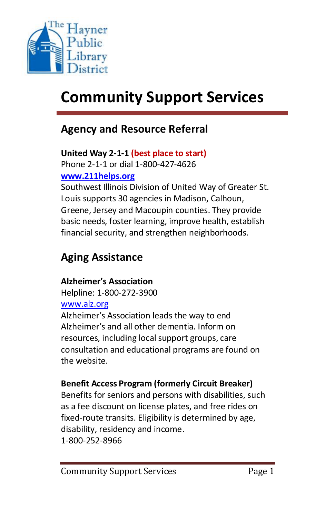

# **Community Support Services**

### **Agency and Resource Referral**

#### **United Way 2-1-1 (best place to start)** Phone 2-1-1 or dial 1-800-427-4626

**[www.211helps.org](http://www.211helps.org/)**

Southwest Illinois Division of United Way of Greater St. Louis supports 30 agencies in Madison, Calhoun, Greene, Jersey and Macoupin counties. They provide basic needs, foster learning, improve health, establish financial security, and strengthen neighborhoods.

## **Aging Assistance**

### **Alzheimer's Association**

Helpline: 1-800-272-3900 [www.alz.org](http://www.alz.org/)

Alzheimer's Association leads the way to end Alzheimer's and all other dementia. Inform on resources, including local support groups, care consultation and educational programs are found on the website.

### **Benefit Access Program (formerly Circuit Breaker)**

Benefits for seniors and persons with disabilities, such as a fee discount on license plates, and free rides on fixed-route transits. Eligibility is determined by age, disability, residency and income. 1-800-252-8966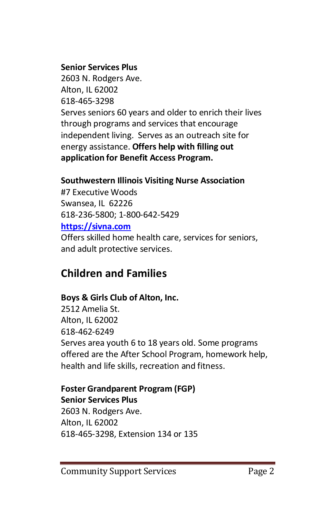#### **Senior Services Plus**

2603 N. Rodgers Ave. Alton, IL 62002 618-465-3298 Serves seniors 60 years and older to enrich their lives through programs and services that encourage independent living. Serves as an outreach site for energy assistance. **Offers help with filling out application for Benefit Access Program.**

### **Southwestern Illinois Visiting Nurse Association**

#7 Executive Woods Swansea, IL 62226 618-236-5800; 1-800-642-5429 **[https://sivna.com](https://sivna.com/)** Offers skilled home health care, services for seniors,

and adult protective services.

### **Children and Families**

### **Boys & Girls Club of Alton, Inc.**

2512 Amelia St. Alton, IL 62002 618-462-6249 Serves area youth 6 to 18 years old. Some programs offered are the After School Program, homework help, health and life skills, recreation and fitness.

#### **Foster Grandparent Program (FGP) Senior Services Plus** 2603 N. Rodgers Ave.

Alton, IL 62002 618-465-3298, Extension 134 or 135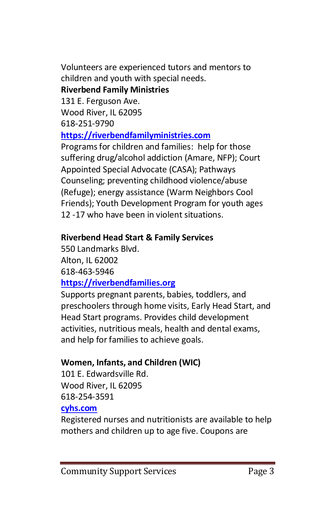Volunteers are experienced tutors and mentors to children and youth with special needs. **Riverbend Family Ministries**

## 131 E. Ferguson Ave.

Wood River, IL 62095 618-251-9790

### **[https://riverbendfamilyministries.com](https://riverbendfamilyministries.com/)**

Programs for children and families: help for those suffering drug/alcohol addiction (Amare, NFP); Court Appointed Special Advocate (CASA); Pathways Counseling; preventing childhood violence/abuse (Refuge); energy assistance (Warm Neighbors Cool Friends); Youth Development Program for youth ages 12 -17 who have been in violent situations.

### **Riverbend Head Start & Family Services**

550 Landmarks Blvd. Alton, IL 62002 618-463-5946 **[https://riverbendfamilies.org](https://riverbendfamilies.org/)**

Supports pregnant parents, babies, toddlers, and preschoolers through home visits, Early Head Start, and Head Start programs. Provides child development activities, nutritious meals, health and dental exams, and help for families to achieve goals.

### **Women, Infants, and Children (WIC)**

101 E. Edwardsville Rd. Wood River, IL 62095 618-254-3591

### **[cyhs.com](https://cyhs.com/)**

Registered nurses and nutritionists are available to help mothers and children up to age five. Coupons are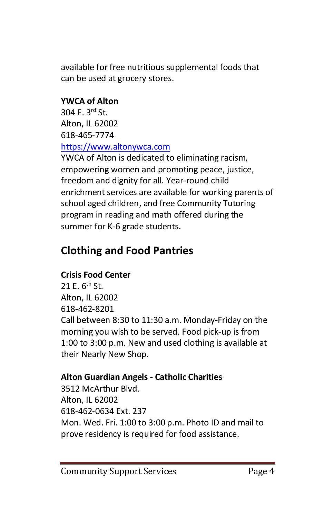available for free nutritious supplemental foods that can be used at grocery stores.

### **YWCA of Alton**

304 E. 3rd St. Alton, IL 62002 618-465-7774 [https://www.altonywca.com](https://www.altonywca.com/)

YWCA of Alton is dedicated to eliminating racism, empowering women and promoting peace, justice, freedom and dignity for all. Year-round child enrichment services are available for working parents of school aged children, and free Community Tutoring program in reading and math offered during the summer for K-6 grade students.

## **Clothing and Food Pantries**

### **Crisis Food Center**

21 E. 6<sup>th</sup> St. Alton, IL 62002 618-462-8201 Call between 8:30 to 11:30 a.m. Monday-Friday on the morning you wish to be served. Food pick-up is from 1:00 to 3:00 p.m. New and used clothing is available at their Nearly New Shop.

### **Alton Guardian Angels - Catholic Charities**

3512 McArthur Blvd. Alton, IL 62002 618-462-0634 Ext. 237 Mon. Wed. Fri. 1:00 to 3:00 p.m. Photo ID and mail to prove residency is required for food assistance.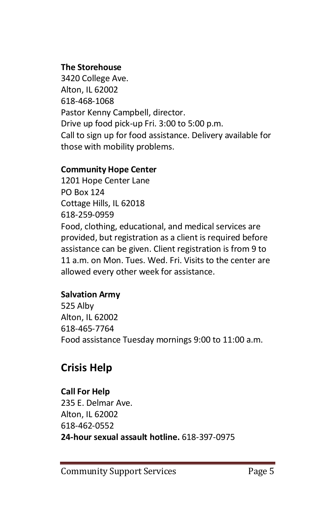### **The Storehouse**

3420 College Ave. Alton, IL 62002 618-468-1068 Pastor Kenny Campbell, director. Drive up food pick-up Fri. 3:00 to 5:00 p.m. Call to sign up for food assistance. Delivery available for those with mobility problems.

### **Community Hope Center**

1201 Hope Center Lane PO Box 124 Cottage Hills, IL 62018 618-259-0959 Food, clothing, educational, and medical services are provided, but registration as a client is required before assistance can be given. Client registration is from 9 to 11 a.m. on Mon. Tues. Wed. Fri. Visits to the center are allowed every other week for assistance.

### **Salvation Army**

525 Alby Alton, IL 62002 618-465-7764 Food assistance Tuesday mornings 9:00 to 11:00 a.m.

### **Crisis Help**

### **Call For Help**

235 E. Delmar Ave. Alton, IL 62002 618-462-0552 **24-hour sexual assault hotline.** 618-397-0975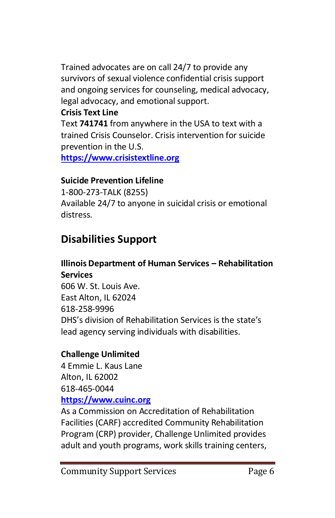Trained advocates are on call 24/7 to provide any survivors of sexual violence confidential crisis support and ongoing services for counseling, medical advocacy, legal advocacy, and emotional support.

### **Crisis Text Line**

Text **741741** from anywhere in the USA to text with a trained Crisis Counselor. Crisis intervention for suicide prevention in the U.S.

**[https://www.crisistextline.org](https://www.crisistextline.org/)**

### **Suicide Prevention Lifeline**

1-800-273-TALK (8255) Available 24/7 to anyone in suicidal crisis or emotional distress.

## **Disabilities Support**

### **Illinois Department of Human Services – Rehabilitation Services**

606 W. St. Louis Ave. East Alton, IL 62024 618-258-9996 DHS's division of Rehabilitation Services is the state's lead agency serving individuals with disabilities.

### **Challenge Unlimited**

4 Emmie L. Kaus Lane Alton, IL 62002 618-465-0044 **[https://www.cuinc.org](https://www.cuinc.org/)**

As a Commission on Accreditation of Rehabilitation Facilities (CARF) accredited Community Rehabilitation Program (CRP) provider, Challenge Unlimited provides adult and youth programs, work skills training centers,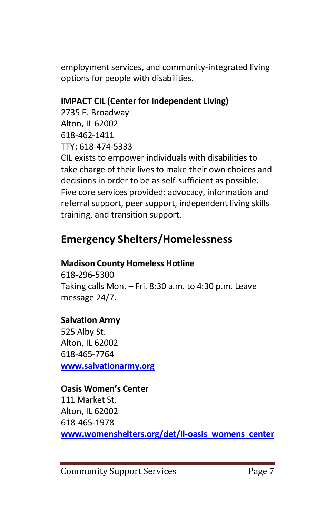employment services, and community-integrated living options for people with disabilities.

### **IMPACT CIL (Center for Independent Living)**

2735 E. Broadway Alton, IL 62002 618-462-1411 TTY: 618-474-5333 CIL exists to empower individuals with disabilities to take charge of their lives to make their own choices and decisions in order to be as self-sufficient as possible. Five core services provided: advocacy, information and referral support, peer support, independent living skills training, and transition support.

### **Emergency Shelters/Homelessness**

### **Madison County Homeless Hotline**

618-296-5300 Taking calls Mon. – Fri. 8:30 a.m. to 4:30 p.m. Leave message 24/7.

### **Salvation Army**

525 Alby St. Alton, IL 62002 618-465-7764 **[www.salvationarmy.org](http://www.salvationarmy.org/)**

#### **Oasis Women's Center**

111 Market St. Alton, IL 62002 618-465-1978 **[www.womenshelters.org/det/il-oasis\\_womens\\_center](http://www.womenshelters.org/det/il-oasis_womens_center)**

Community Support Services Page 7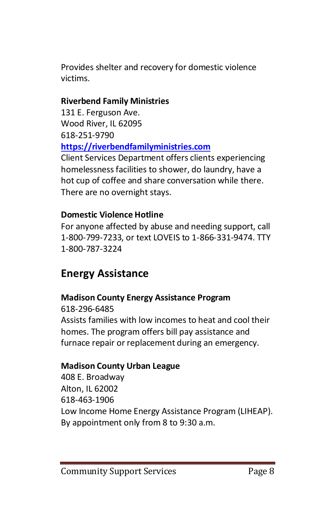Provides shelter and recovery for domestic violence victims.

### **Riverbend Family Ministries**

131 E. Ferguson Ave. Wood River, IL 62095 618-251-9790 **[https://riverbendfamilyministries.com](https://riverbendfamilyministries.com/)**

Client Services Department offers clients experiencing homelessness facilities to shower, do laundry, have a hot cup of coffee and share conversation while there. There are no overnight stays.

#### **Domestic Violence Hotline**

For anyone affected by abuse and needing support, call 1-800-799-7233, or text LOVEIS to 1-866-331-9474. TTY 1-800-787-3224

### **Energy Assistance**

### **Madison County Energy Assistance Program**

618-296-6485 Assists families with low incomes to heat and cool their homes. The program offers bill pay assistance and furnace repair or replacement during an emergency.

### **Madison County Urban League**

408 E. Broadway Alton, IL 62002 618-463-1906 Low Income Home Energy Assistance Program (LIHEAP). By appointment only from 8 to 9:30 a.m.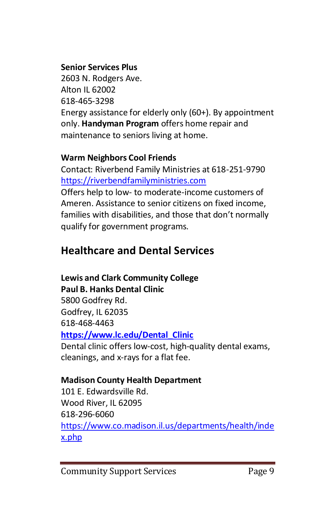### **Senior Services Plus**

2603 N. Rodgers Ave. Alton IL 62002 618-465-3298 Energy assistance for elderly only (60+). By appointment only. **Handyman Program** offers home repair and maintenance to seniors living at home.

### **Warm Neighbors Cool Friends**

Contact: Riverbend Family Ministries at 618-251-9790 [https://riverbendfamilyministries.com](https://riverbendfamilyministries.com/)

Offers help to low- to moderate-income customers of Ameren. Assistance to senior citizens on fixed income, families with disabilities, and those that don't normally qualify for government programs.

## **Healthcare and Dental Services**

### **Lewis and Clark Community College**

### **Paul B. Hanks Dental Clinic**

5800 Godfrey Rd. Godfrey, IL 62035 618-468-4463 **[https://www.lc.edu/Dental\\_Clinic](https://www.lc.edu/Dental_Clinic)**

Dental clinic offers low-cost, high-quality dental exams, cleanings, and x-rays for a flat fee.

### **Madison County Health Department**

101 E. Edwardsville Rd. Wood River, IL 62095 618-296-6060 [https://www.co.madison.il.us/departments/health/inde](https://www.co.madison.il.us/departments/health/index.php) [x.php](https://www.co.madison.il.us/departments/health/index.php)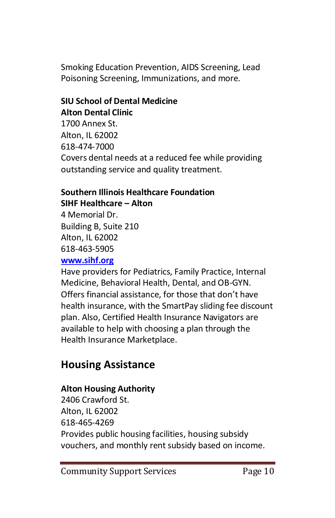Smoking Education Prevention, AIDS Screening, Lead Poisoning Screening, Immunizations, and more.

### **SIU School of Dental Medicine Alton Dental Clinic**

1700 Annex St. Alton, IL 62002 618-474-7000 Covers dental needs at a reduced fee while providing outstanding service and quality treatment.

#### **Southern Illinois Healthcare Foundation SIHF Healthcare – Alton**

4 Memorial Dr. Building B, Suite 210 Alton, IL 62002 618-463-5905

### **[www.sihf.org](http://www.sihf.org/)**

Have providers for Pediatrics, Family Practice, Internal Medicine, Behavioral Health, Dental, and OB-GYN. Offers financial assistance, for those that don't have health insurance, with the SmartPay sliding fee discount plan. Also, Certified Health Insurance Navigators are available to help with choosing a plan through the Health Insurance Marketplace.

## **Housing Assistance**

### **Alton Housing Authority**

2406 Crawford St. Alton, IL 62002 618-465-4269 Provides public housing facilities, housing subsidy vouchers, and monthly rent subsidy based on income.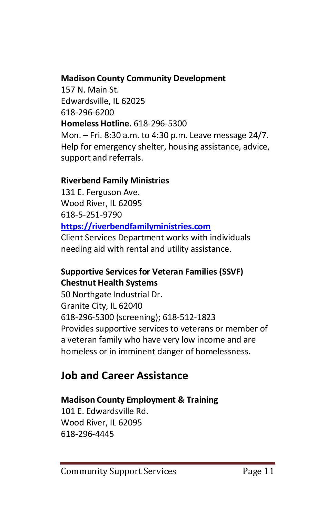### **Madison County Community Development**

157 N. Main St. Edwardsville, IL 62025 618-296-6200 **Homeless Hotline.** 618-296-5300 Mon. – Fri. 8:30 a.m. to 4:30 p.m. Leave message 24/7. Help for emergency shelter, housing assistance, advice, support and referrals.

### **Riverbend Family Ministries**

131 E. Ferguson Ave. Wood River, IL 62095 618-5-251-9790 **[https://riverbendfamilyministries.com](https://riverbendfamilyministries.com/)**

Client Services Department works with individuals needing aid with rental and utility assistance.

### **Supportive Services for Veteran Families (SSVF) Chestnut Health Systems**

50 Northgate Industrial Dr. Granite City, IL 62040 618-296-5300 (screening); 618-512-1823 Provides supportive services to veterans or member of a veteran family who have very low income and are homeless or in imminent danger of homelessness.

### **Job and Career Assistance**

### **Madison County Employment & Training**

101 E. Edwardsville Rd. Wood River, IL 62095 618-296-4445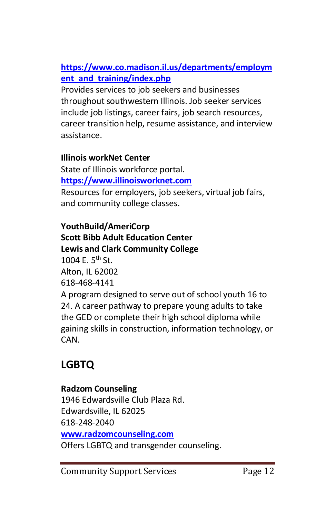### **[https://www.co.madison.il.us/departments/employm](https://www.co.madison.il.us/departments/employment_and_training/index.php) [ent\\_and\\_training/index.php](https://www.co.madison.il.us/departments/employment_and_training/index.php)**

Provides services to job seekers and businesses throughout southwestern Illinois. Job seeker services include job listings, career fairs, job search resources, career transition help, resume assistance, and interview assistance.

### **Illinois workNet Center**

State of Illinois workforce portal. **[https://www.illinoisworknet.com](https://www.illinoisworknet.com/)** Resources for employers, job seekers, virtual job fairs, and community college classes.

### **YouthBuild/AmeriCorp Scott Bibb Adult Education Center Lewis and Clark Community College** 1004 E.  $5^{th}$  St. Alton, IL 62002 618-468-4141

A program designed to serve out of school youth 16 to 24. A career pathway to prepare young adults to take the GED or complete their high school diploma while gaining skills in construction, information technology, or CAN.

## **LGBTQ**

### **Radzom Counseling** 1946 Edwardsville Club Plaza Rd. Edwardsville, IL 62025 618-248-2040 **[www.radzomcounseling.com](http://www.radzomcounseling.com/)** Offers LGBTQ and transgender counseling.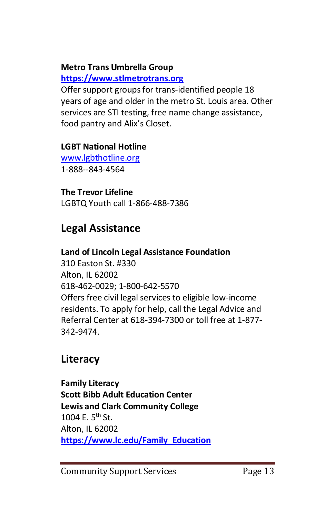### **Metro Trans Umbrella Group**

### **[https://www.stlmetrotrans.org](https://www.stlmetrotrans.org/)**

Offer support groups for trans-identified people 18 years of age and older in the metro St. Louis area. Other services are STI testing, free name change assistance, food pantry and Alix's Closet.

### **LGBT National Hotline**

[www.lgbthotline.org](http://www.lgbthotline.org/) 1-888--843-4564

### **The Trevor Lifeline**

LGBTQ Youth call 1-866-488-7386

### **Legal Assistance**

### **Land of Lincoln Legal Assistance Foundation**

310 Easton St. #330 Alton, IL 62002 618-462-0029; 1-800-642-5570 Offers free civil legal services to eligible low-income residents. To apply for help, call the Legal Advice and Referral Center at 618-394-7300 or toll free at 1-877- 342-9474.

### **Literacy**

**Family Literacy Scott Bibb Adult Education Center Lewis and Clark Community College** 1004 E.  $5^{th}$  St. Alton, IL 62002 **[https://www.lc.edu/Family\\_Education](https://www.lc.edu/Family_Education)**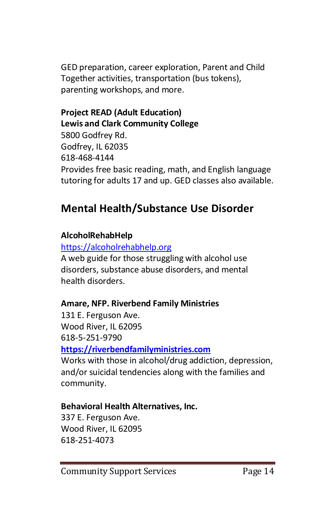GED preparation, career exploration, Parent and Child Together activities, transportation (bus tokens), parenting workshops, and more.

### **Project READ (Adult Education) Lewis and Clark Community College**

5800 Godfrey Rd. Godfrey, IL 62035 618-468-4144 Provides free basic reading, math, and English language tutoring for adults 17 and up. GED classes also available.

### **Mental Health/Substance Use Disorder**

### **AlcoholRehabHelp**

[https://alcoholrehabhelp.org](https://alcoholrehabhelp.org/) A web guide for those struggling with alcohol use

disorders, substance abuse disorders, and mental health disorders.

### **Amare, NFP. Riverbend Family Ministries**

131 E. Ferguson Ave. Wood River, IL 62095 618-5-251-9790 **[https://riverbendfamilyministries.com](https://riverbendfamilyministries.com/)**

Works with those in alcohol/drug addiction, depression, and/or suicidal tendencies along with the families and community.

### **Behavioral Health Alternatives, Inc.**

337 E. Ferguson Ave. Wood River, IL 62095 618-251-4073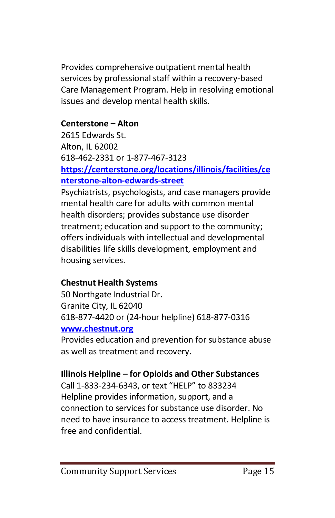Provides comprehensive outpatient mental health services by professional staff within a recovery-based Care Management Program. Help in resolving emotional issues and develop mental health skills.

### **Centerstone – Alton**

2615 Edwards St. Alton, IL 62002 618-462-2331 or 1-877-467-3123 **[https://centerstone.org/locations/illinois/facilities/ce](https://centerstone.org/locations/illinois/facilities/centerstone-alton-edwards-street) [nterstone-alton-edwards-street](https://centerstone.org/locations/illinois/facilities/centerstone-alton-edwards-street)**

Psychiatrists, psychologists, and case managers provide mental health care for adults with common mental health disorders; provides substance use disorder treatment; education and support to the community; offers individuals with intellectual and developmental disabilities life skills development, employment and

housing services.

### **Chestnut Health Systems**

50 Northgate Industrial Dr. Granite City, IL 62040 618-877-4420 or (24-hour helpline) 618-877-0316 **[www.chestnut.org](http://www.chestnut.org/)**

Provides education and prevention for substance abuse as well as treatment and recovery.

### **Illinois Helpline – for Opioids and Other Substances**

Call 1-833-234-6343, or text "HELP" to 833234 Helpline provides information, support, and a connection to services for substance use disorder. No need to have insurance to access treatment. Helpline is free and confidential.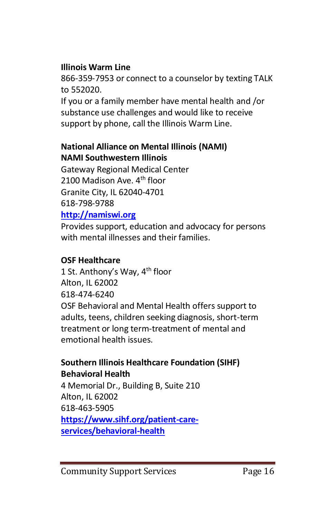### **Illinois Warm Line**

866-359-7953 or connect to a counselor by texting TALK to 552020.

If you or a family member have mental health and /or substance use challenges and would like to receive support by phone, call the Illinois Warm Line.

### **National Alliance on Mental Illinois (NAMI) NAMI Southwestern Illinois**

Gateway Regional Medical Center 2100 Madison Ave.  $4<sup>th</sup>$  floor Granite City, IL 62040-4701 618-798-9788

### **[http://namiswi.org](http://namiswi.org/)**

Provides support, education and advocacy for persons with mental illnesses and their families.

### **OSF Healthcare**

1 St. Anthony's Way, 4<sup>th</sup> floor Alton, IL 62002 618-474-6240 OSF Behavioral and Mental Health offers support to adults, teens, children seeking diagnosis, short-term treatment or long term-treatment of mental and emotional health issues.

### **Southern Illinois Healthcare Foundation (SIHF) Behavioral Health**

4 Memorial Dr., Building B, Suite 210 Alton, IL 62002 618-463-5905 **[https://www.sihf.org/patient-care](https://www.sihf.org/patient-care-services/behavioral-health)[services/behavioral-health](https://www.sihf.org/patient-care-services/behavioral-health)**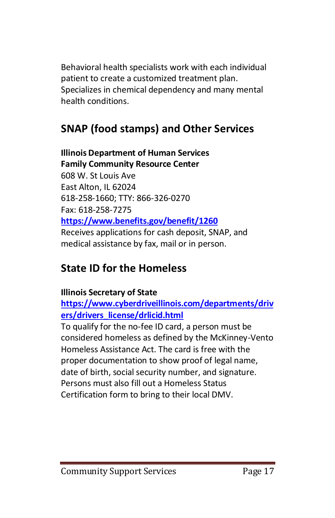Behavioral health specialists work with each individual patient to create a customized treatment plan. Specializes in chemical dependency and many mental health conditions.

## **SNAP (food stamps) and Other Services**

### **Illinois Department of Human Services Family Community Resource Center** 608 W. St Louis Ave East Alton, IL 62024 618-258-1660; TTY: 866-326-0270 Fax: 618-258-7275 **<https://www.benefits.gov/benefit/1260>** Receives applications for cash deposit, SNAP, and medical assistance by fax, mail or in person.

### **State ID for the Homeless**

### **Illinois Secretary of State**

**[https://www.cyberdriveillinois.com/departments/driv](https://www.cyberdriveillinois.com/departments/drivers/drivers_license/drlicid.html) [ers/drivers\\_license/drlicid.html](https://www.cyberdriveillinois.com/departments/drivers/drivers_license/drlicid.html)**

To qualify for the no-fee ID card, a person must be considered homeless as defined by the McKinney-Vento Homeless Assistance Act. The card is free with the proper documentation to show proof of legal name, date of birth, social security number, and signature. Persons must also fill out a Homeless Status Certification form to bring to their local DMV.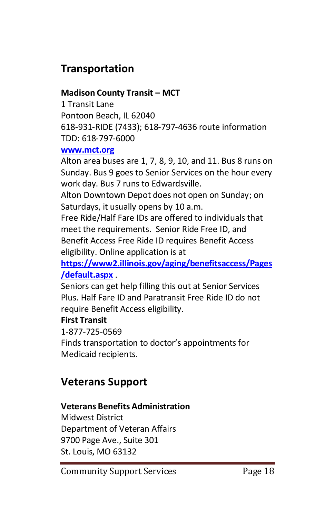### **Transportation**

### **Madison County Transit – MCT**

1 Transit Lane Pontoon Beach, IL 62040 618-931-RIDE (7433); 618-797-4636 route information TDD: 618-797-6000

#### **[www.mct.org](http://www.mct.org/)**

Alton area buses are 1, 7, 8, 9, 10, and 11. Bus 8 runs on Sunday. Bus 9 goes to Senior Services on the hour every work day. Bus 7 runs to Edwardsville.

Alton Downtown Depot does not open on Sunday; on Saturdays, it usually opens by 10 a.m.

Free Ride/Half Fare IDs are offered to individuals that meet the requirements. Senior Ride Free ID, and Benefit Access Free Ride ID requires Benefit Access eligibility. Online application is at

**[https://www2.illinois.gov/aging/benefitsaccess/Pages](https://www2.illinois.gov/aging/benefitsaccess/Pages/default.aspx) [/default.aspx](https://www2.illinois.gov/aging/benefitsaccess/Pages/default.aspx)** .

Seniors can get help filling this out at Senior Services Plus. Half Fare ID and Paratransit Free Ride ID do not require Benefit Access eligibility.

### **First Transit**

1-877-725-0569

Finds transportation to doctor's appointments for Medicaid recipients.

### **Veterans Support**

#### **Veterans Benefits Administration**

Midwest District Department of Veteran Affairs 9700 Page Ave., Suite 301 St. Louis, MO 63132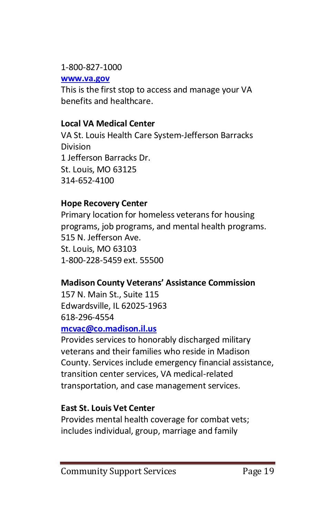#### 1-800-827-1000

**[www.va.gov](http://www.va.gov/)**

This is the first stop to access and manage your VA benefits and healthcare.

### **Local VA Medical Center**

VA St. Louis Health Care System-Jefferson Barracks Division 1 Jefferson Barracks Dr. St. Louis, MO 63125 314-652-4100

### **Hope Recovery Center**

Primary location for homeless veterans for housing programs, job programs, and mental health programs. 515 N. Jefferson Ave. St. Louis, MO 63103 1-800-228-5459 ext. 55500

### **Madison County Veterans' Assistance Commission**

157 N. Main St., Suite 115 Edwardsville, IL 62025-1963 618-296-4554

#### **[mcvac@co.madison.il.us](mailto:mcvac@co.madison.il.us)**

Provides services to honorably discharged military veterans and their families who reside in Madison County. Services include emergency financial assistance, transition center services, VA medical-related transportation, and case management services.

### **East St. Louis Vet Center**

Provides mental health coverage for combat vets; includes individual, group, marriage and family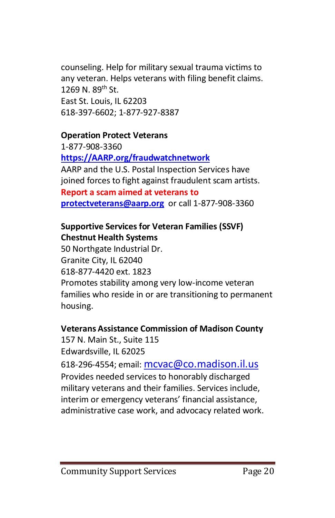counseling. Help for military sexual trauma victims to any veteran. Helps veterans with filing benefit claims. 1269 N. 89th St. East St. Louis, IL 62203 618-397-6602; 1-877-927-8387

### **Operation Protect Veterans**

1-877-908-3360 **[https://AARP.org/fraudwatchnetwork](https://aarp.org/fraudwatchnetwork)** AARP and the U.S. Postal Inspection Services have joined forces to fight against fraudulent scam artists. **Report a scam aimed at veterans to [protectveterans@aarp.org](mailto:protectveterans@aarp.org)** or call 1-877-908-3360

### **Supportive Services for Veteran Families (SSVF) Chestnut Health Systems**

50 Northgate Industrial Dr. Granite City, IL 62040 618-877-4420 ext. 1823 Promotes stability among very low-income veteran families who reside in or are transitioning to permanent housing.

#### **Veterans Assistance Commission of Madison County**

157 N. Main St., Suite 115 Edwardsville, IL 62025 618-296-4554; email: [mcvac@co.madison.il.us](mailto:mcvac@co.madison.il.us) Provides needed services to honorably discharged military veterans and their families. Services include, interim or emergency veterans' financial assistance, administrative case work, and advocacy related work.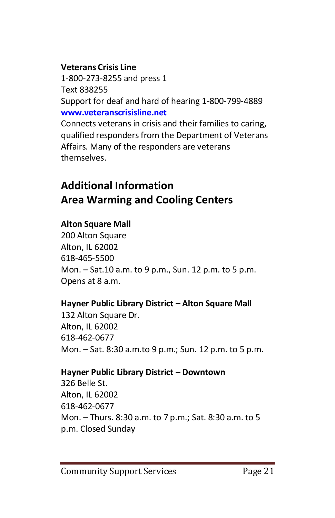#### **Veterans Crisis Line**

1-800-273-8255 and press 1 Text 838255 Support for deaf and hard of hearing 1-800-799-4889 **[www.veteranscrisisline.net](http://www.veteranscrisisline.net/)**

Connects veterans in crisis and their families to caring, qualified responders from the Department of Veterans Affairs. Many of the responders are veterans themselves.

## **Additional Information Area Warming and Cooling Centers**

### **Alton Square Mall**

200 Alton Square Alton, IL 62002 618-465-5500 Mon. – Sat.10 a.m. to 9 p.m., Sun. 12 p.m. to 5 p.m. Opens at 8 a.m.

### **Hayner Public Library District – Alton Square Mall**

132 Alton Square Dr. Alton, IL 62002 618-462-0677 Mon. – Sat. 8:30 a.m.to 9 p.m.; Sun. 12 p.m. to 5 p.m.

#### **Hayner Public Library District – Downtown**

326 Belle St. Alton, IL 62002 618-462-0677 Mon. – Thurs. 8:30 a.m. to 7 p.m.; Sat. 8:30 a.m. to 5 p.m. Closed Sunday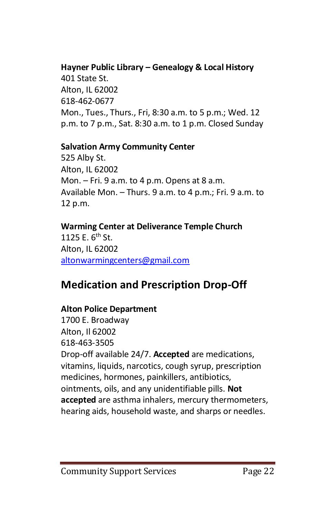### **Hayner Public Library – Genealogy & Local History**

401 State St. Alton, IL 62002 618-462-0677 Mon., Tues., Thurs., Fri, 8:30 a.m. to 5 p.m.; Wed. 12 p.m. to 7 p.m., Sat. 8:30 a.m. to 1 p.m. Closed Sunday

#### **Salvation Army Community Center**

525 Alby St. Alton, IL 62002 Mon. – Fri. 9 a.m. to 4 p.m. Opens at 8 a.m. Available Mon. – Thurs. 9 a.m. to 4 p.m.; Fri. 9 a.m. to 12 p.m.

### **Warming Center at Deliverance Temple Church**

1125 E.  $6^{th}$  St. Alton, IL 62002 [altonwarmingcenters@gmail.com](mailto:altonwarmingcenters@gmail.com)

### **Medication and Prescription Drop-Off**

### **Alton Police Department**

1700 E. Broadway Alton, Il 62002 618-463-3505 Drop-off available 24/7. **Accepted** are medications, vitamins, liquids, narcotics, cough syrup, prescription medicines, hormones, painkillers, antibiotics, ointments, oils, and any unidentifiable pills. **Not accepted** are asthma inhalers, mercury thermometers, hearing aids, household waste, and sharps or needles.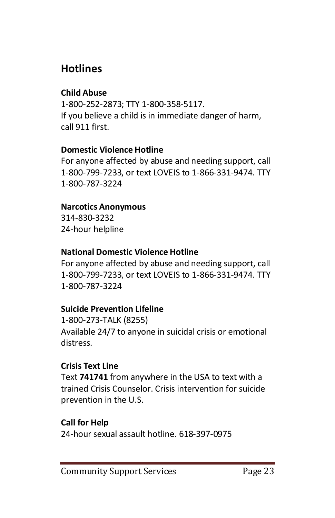### **Hotlines**

### **Child Abuse**

1-800-252-2873; TTY 1-800-358-5117. If you believe a child is in immediate danger of harm, call 911 first.

### **Domestic Violence Hotline**

For anyone affected by abuse and needing support, call 1-800-799-7233, or text LOVEIS to 1-866-331-9474. TTY 1-800-787-3224

### **Narcotics Anonymous**

314-830-3232 24-hour helpline

### **National Domestic Violence Hotline**

For anyone affected by abuse and needing support, call 1-800-799-7233, or text LOVEIS to 1-866-331-9474. TTY 1-800-787-3224

### **Suicide Prevention Lifeline**

1-800-273-TALK (8255) Available 24/7 to anyone in suicidal crisis or emotional distress.

### **Crisis Text Line**

Text **741741** from anywhere in the USA to text with a trained Crisis Counselor. Crisis intervention for suicide prevention in the U.S.

### **Call for Help**

24-hour sexual assault hotline. 618-397-0975